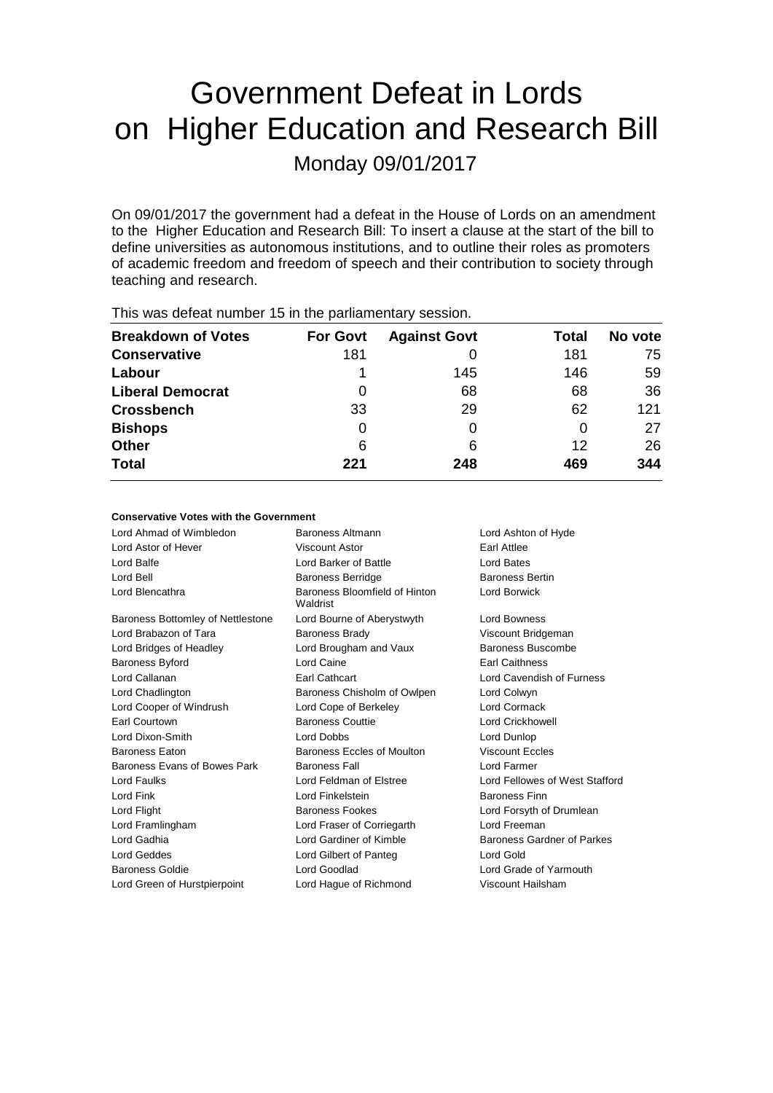# Government Defeat in Lords on Higher Education and Research Bill

Monday 09/01/2017

On 09/01/2017 the government had a defeat in the House of Lords on an amendment to the Higher Education and Research Bill: To insert a clause at the start of the bill to define universities as autonomous institutions, and to outline their roles as promoters of academic freedom and freedom of speech and their contribution to society through teaching and research.

| <b>THIS WAS ACTUALTIQUIDED TO ILL LIC PAILIALITERIALY SUSSION.</b> |                 |                     |       |         |  |  |
|--------------------------------------------------------------------|-----------------|---------------------|-------|---------|--|--|
| <b>Breakdown of Votes</b>                                          | <b>For Govt</b> | <b>Against Govt</b> | Total | No vote |  |  |
| <b>Conservative</b>                                                | 181             |                     | 181   | 75      |  |  |
| Labour                                                             |                 | 145                 | 146   | 59      |  |  |
| <b>Liberal Democrat</b>                                            | 0               | 68                  | 68    | 36      |  |  |
| <b>Crossbench</b>                                                  | 33              | 29                  | 62    | 121     |  |  |
| <b>Bishops</b>                                                     | 0               |                     |       | 27      |  |  |
| <b>Other</b>                                                       | 6               | 6                   | 12    | 26      |  |  |
| <b>Total</b>                                                       | 221             | 248                 | 469   | 344     |  |  |
|                                                                    |                 |                     |       |         |  |  |

This was defeat number 15 in the parliamentary session.

## **Conservative Votes with the Government**

| Lord Ahmad of Wimbledon           | <b>Baroness Altmann</b><br>Lord Ashton of Hyde |                                   |
|-----------------------------------|------------------------------------------------|-----------------------------------|
| Lord Astor of Hever               | Viscount Astor                                 | Earl Attlee                       |
| Lord Balfe                        | Lord Barker of Battle                          | Lord Bates                        |
| Lord Bell                         | <b>Baroness Berridge</b>                       | <b>Baroness Bertin</b>            |
| Lord Blencathra                   | Baroness Bloomfield of Hinton<br>Waldrist      | Lord Borwick                      |
| Baroness Bottomley of Nettlestone | Lord Bourne of Aberystwyth                     | Lord Bowness                      |
| Lord Brabazon of Tara             | <b>Baroness Brady</b>                          | Viscount Bridgeman                |
| Lord Bridges of Headley           | Lord Brougham and Vaux                         | Baroness Buscombe                 |
| <b>Baroness Byford</b>            | Lord Caine                                     | Earl Caithness                    |
| Lord Callanan                     | <b>Earl Cathcart</b>                           | Lord Cavendish of Furness         |
| Lord Chadlington                  | Baroness Chisholm of Owlpen                    | Lord Colwyn                       |
| Lord Cooper of Windrush           | Lord Cope of Berkeley                          | Lord Cormack                      |
| Earl Courtown                     | <b>Baroness Couttie</b>                        | <b>Lord Crickhowell</b>           |
| Lord Dixon-Smith                  | Lord Dobbs                                     | Lord Dunlop                       |
| <b>Baroness Eaton</b>             | Baroness Eccles of Moulton                     | <b>Viscount Eccles</b>            |
| Baroness Evans of Bowes Park      | <b>Baroness Fall</b>                           | Lord Farmer                       |
| Lord Faulks                       | Lord Feldman of Elstree                        | Lord Fellowes of West Stafford    |
| Lord Fink                         | Lord Finkelstein                               | <b>Baroness Finn</b>              |
| Lord Flight                       | <b>Baroness Fookes</b>                         | Lord Forsyth of Drumlean          |
| Lord Framlingham                  | Lord Fraser of Corriegarth                     | Lord Freeman                      |
| Lord Gadhia                       | Lord Gardiner of Kimble                        | <b>Baroness Gardner of Parkes</b> |
| Lord Geddes                       | Lord Gilbert of Panteg                         | Lord Gold                         |
| <b>Baroness Goldie</b>            | Lord Goodlad                                   | Lord Grade of Yarmouth            |
| Lord Green of Hurstpierpoint      | Lord Haque of Richmond                         | Viscount Hailsham                 |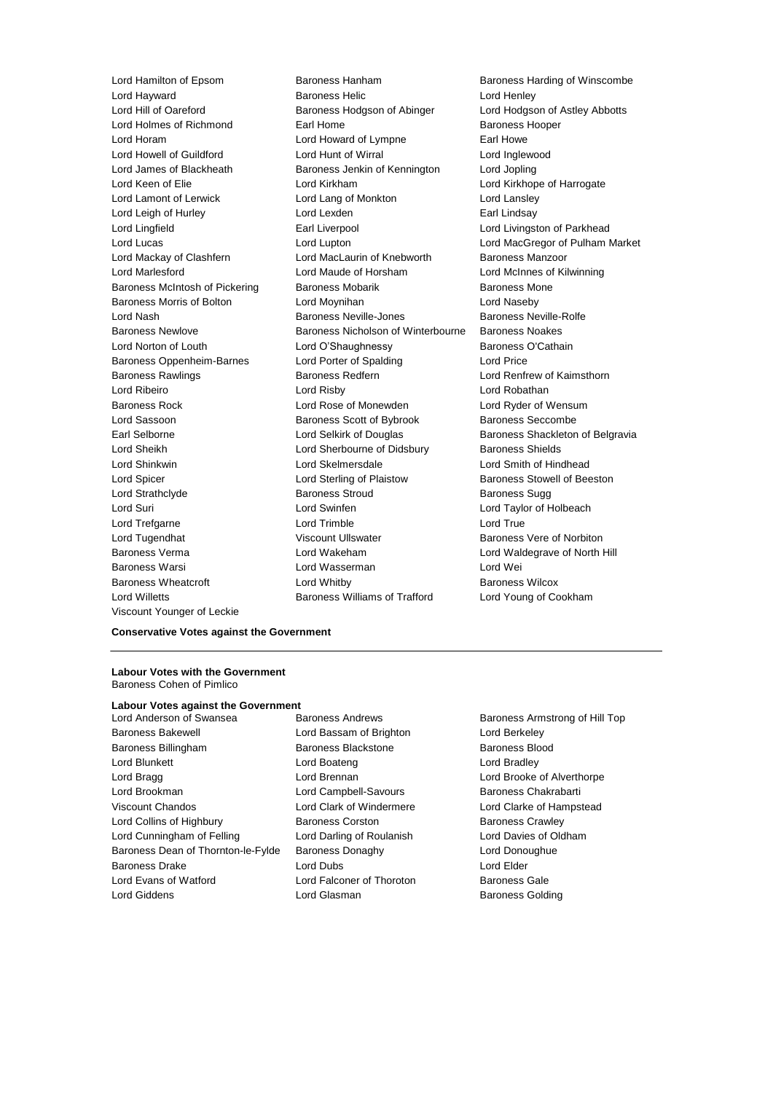Viscount Younger of Leckie

Lord Hamilton of Epsom **Baroness Hanham** Baroness Hanham Baroness Harding of Winscombe **Lord Hayward Communist Communist Baroness Helic Communist Communist Communist Communist Communist Communist Co** Lord Hill of Oareford Baroness Hodgson of Abinger Lord Hodgson of Astley Abbotts Lord Holmes of Richmond **Earl Home** Earl Home Baroness Hooper Lord Horam Lord Howard of Lympne Earl Howe Lord Howell of Guildford Lord Hunt of Wirral Lord Inglewood Lord James of Blackheath Baroness Jenkin of Kennington Lord Jopling Lord Keen of Elie **Lord Kirkham** Lord Kirkham Lord Kirkhope of Harrogate Lord Lamont of Lerwick Lord Lang of Monkton Lord Lansley Lord Leigh of Hurley **Lord Lexden** Earl Lindsay Lord Lingfield **Earl Liverpool** Earl Liverpool **Lord Livingston of Parkhead** Lord Lucas Lord Lupton Lord MacGregor of Pulham Market Lord Mackay of Clashfern Lord MacLaurin of Knebworth Baroness Manzoor Lord Marlesford Lord Maude of Horsham Lord McInnes of Kilwinning Baroness McIntosh of Pickering Baroness Mobarik Baroness Mone Baroness Morris of Bolton Lord Moynihan Lord Naseby Lord Nash **Baroness Neville-Jones** Baroness Neville-Rolfe Baroness Newlove Baroness Nicholson of Winterbourne Baroness Noakes Lord Norton of Louth Lord O'Shaughnessy Baroness O'Cathain Baroness Oppenheim-Barnes Lord Porter of Spalding Lord Price Baroness Rawlings **Baroness Redfern Baroness Redfern Lord Renfrew of Kaimsthorn** Lord Ribeiro Lord Risby Lord Robathan Baroness Rock Lord Rose of Monewden Lord Ryder of Wensum Lord Sassoon **Baroness Scott of Bybrook** Baroness Seccombe Earl Selborne **Lord Selkirk of Douglas** Baroness Shackleton of Belgravia Lord Sheikh **Lord Sherbourne of Didsbury** Baroness Shields Lord Shinkwin Lord Skelmersdale Lord Smith of Hindhead Lord Spicer Lord Sterling of Plaistow Baroness Stowell of Beeston Lord Strathclyde **Baroness Stroud** Baroness Sugg Lord Suri Lord Swinfen Lord Taylor of Holbeach Lord Trefgarne Lord Conduction Lord Trimble Lord True Lord Tugendhat Viscount Ullswater Baroness Vere of Norbiton Baroness Verma **Lord Wakeham** Lord Waldegrave of North Hill Baroness Warsi Lord Wasserman Lord Wei Baroness Wheatcroft Lord Whitby Baroness Wilcox Lord Willetts Baroness Williams of Trafford Lord Young of Cookham

## **Conservative Votes against the Government**

#### **Labour Votes with the Government** Baroness Cohen of Pimlico

# **Labour Votes against the Government**

Baroness Bakewell Lord Bassam of Brighton Lord Berkeley Baroness Billingham Baroness Blackstone Baroness Blood Lord Blunkett Lord Boateng Lord Bradley Lord Bragg Lord Brennan Lord Brooke of Alverthorpe Lord Brookman Lord Campbell-Savours Baroness Chakrabarti Viscount Chandos Lord Clark of Windermere Lord Clarke of Hampstead Lord Collins of Highbury **Baroness Corston** Baroness Corston Baroness Crawley Lord Cunningham of Felling **Lord Darling of Roulanish** Lord Davies of Oldham Baroness Dean of Thornton-le-Fylde Baroness Donaghy Lord Donoughue Baroness Drake Lord Dubs Lord Elder Lord Evans of Watford Lord Falconer of Thoroton Baroness Gale Lord Giddens **Lord Glasman** Baroness Golding

Baroness Armstrong of Hill Top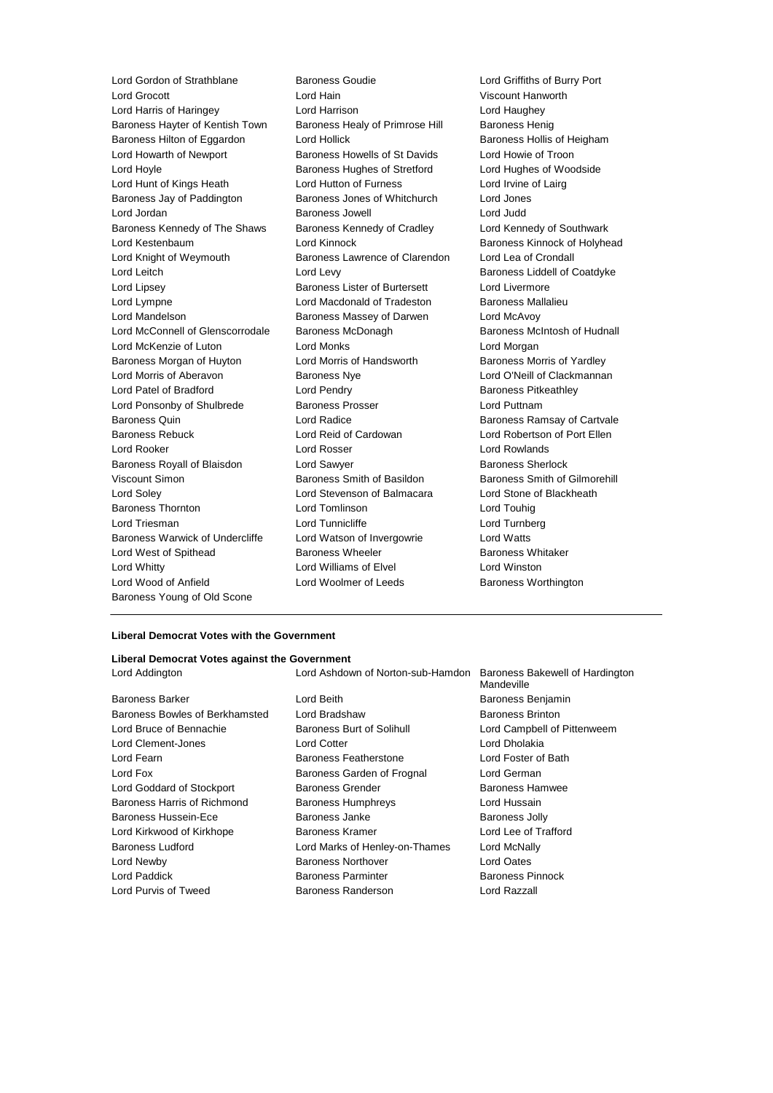Lord Grocott Lord Hain Viscount Hanworth Lord Harris of Haringey Lord Harrison Lord Haughey Baroness Hayter of Kentish Town Baroness Healy of Primrose Hill Baroness Henig Baroness Hilton of Eggardon Lord Hollick Baroness Hollis of Heigham Lord Howarth of Newport Baroness Howells of St Davids Lord Howie of Troon Lord Hoyle **Baroness Hughes of Stretford** Lord Hughes of Woodside Lord Hunt of Kings Heath **Lord Hutton of Furness** Lord Irvine of Lairg Baroness Jay of Paddington Baroness Jones of Whitchurch Lord Jones Lord Jordan Baroness Jowell Lord Judd Baroness Kennedy of The Shaws Baroness Kennedy of Cradley Lord Kennedy of Southwark Lord Kestenbaum **Lord Kinnock** Baroness Kinnock of Holyhead Lord Knight of Weymouth Baroness Lawrence of Clarendon Lord Lea of Crondall Lord Leitch **Lord Levy** Lord Levy **Baroness Liddell of Coatdyke** Lord Lipsey Baroness Lister of Burtersett Lord Livermore Lord Lympne Lord Macdonald of Tradeston Baroness Mallalieu Lord Mandelson **Baroness Massey of Darwen** Lord McAvoy Lord McConnell of Glenscorrodale Baroness McDonagh Baroness McNoress McIntosh of Hudnall Lord McKenzie of Luton Lord Monks Lord Morgan Baroness Morgan of Huyton Lord Morris of Handsworth Baroness Morris of Yardley Lord Morris of Aberavon **Baroness Nye Baroness Nye Lord O'Neill of Clackmannan** Lord Patel of Bradford **Lord Pendry Community** Baroness Pitkeathley Lord Ponsonby of Shulbrede Baroness Prosser Baroness Prosser Lord Puttnam Baroness Quin Lord Radice Baroness Ramsay of Cartvale Baroness Rebuck Lord Reid of Cardowan Lord Robertson of Port Ellen Lord Rooker Lord Rosser Lord Rowlands Baroness Royall of Blaisdon **Lord Sawyer Baroness Sherlock Baroness** Sherlock Viscount Simon **Baroness Smith of Basildon** Baroness Smith of Gilmorehill Lord Soley Lord Stevenson of Balmacara Lord Stone of Blackheath Baroness Thornton Lord Tomlinson Lord Touhig Lord Triesman Lord Tunnicliffe Lord Turnberg Baroness Warwick of Undercliffe Lord Watson of Invergowrie Lord Watts Lord West of Spithead **Baroness Wheeler** Baroness Whitaker Lord Whitty Lord Williams of Elvel Lord Winston Lord Wood of Anfield Lord Woolmer of Leeds Baroness Worthington Baroness Young of Old Scone

Lord Gordon of Strathblane Baroness Goudie Lord Griffiths of Burry Port

#### **Liberal Democrat Votes with the Government**

#### **Liberal Democrat Votes against the Government**

Baroness Barker **Communist Baroness Benjamin** Lord Beith **Baroness Benjamin** Baroness Bowles of Berkhamsted Lord Bradshaw Baroness Brinton Lord Bruce of Bennachie **Baroness Burt of Solihull** Lord Campbell of Pittenweem Lord Clement-Jones Lord Cotter Lord Dholakia Lord Fearn Baroness Featherstone Lord Foster of Bath Lord Fox Baroness Garden of Frognal Lord German Lord Goddard of Stockport **Baroness Grender** Baroness Hamwee Baroness Harris of Richmond Baroness Humphreys Lord Hussain Baroness Hussein-Ece **Baroness Janke** Baroness Jolly Lord Kirkwood of Kirkhope Baroness Kramer Lord Lee of Trafford Baroness Ludford Lord Marks of Henley-on-Thames Lord McNally Lord Newby Baroness Northover Lord Oates Lord Paddick Baroness Parminter Baroness Pinnock Lord Purvis of Tweed Baroness Randerson Lord Razzall

Lord Addington Lord Ashdown of Norton-sub-Hamdon Baroness Bakewell of Hardington Mandeville